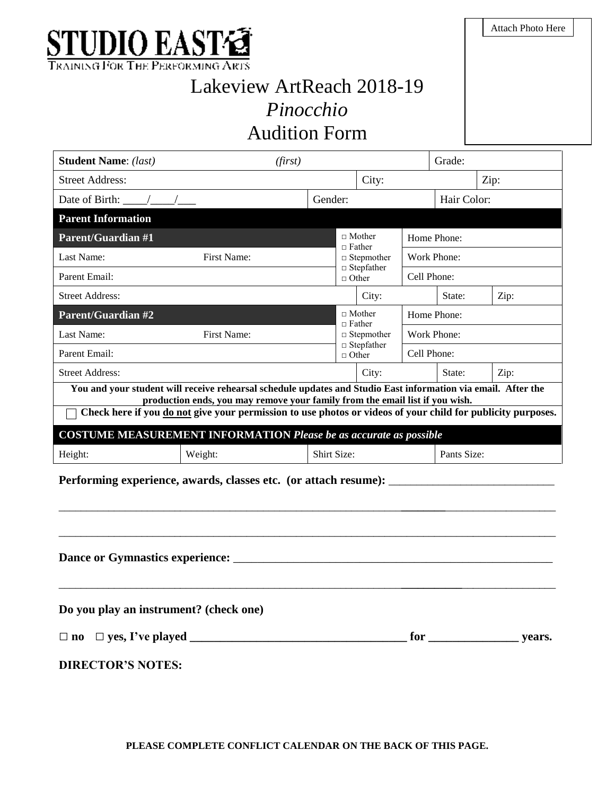

## Lakeview ArtReach 2018-19 *Pinocchio*  Audition Form

| <b>Student Name:</b> (last)<br>(first)                                                                                                                                                      | Grade:  |                                     |             |             |      |  |  |  |
|---------------------------------------------------------------------------------------------------------------------------------------------------------------------------------------------|---------|-------------------------------------|-------------|-------------|------|--|--|--|
| <b>Street Address:</b>                                                                                                                                                                      |         | City:                               |             |             | Zip: |  |  |  |
| Date of Birth:                                                                                                                                                                              | Gender: |                                     |             | Hair Color: |      |  |  |  |
| <b>Parent Information</b>                                                                                                                                                                   |         |                                     |             |             |      |  |  |  |
| <b>Parent/Guardian #1</b>                                                                                                                                                                   |         | $\Box$ Mother<br>$\Box$ Father      |             | Home Phone: |      |  |  |  |
| Last Name:<br><b>First Name:</b>                                                                                                                                                            |         | $\Box$ Stepmother                   | Work Phone: |             |      |  |  |  |
| Parent Email:                                                                                                                                                                               |         | $\Box$ Stepfather<br>$\Box$ Other   | Cell Phone: |             |      |  |  |  |
| <b>Street Address:</b>                                                                                                                                                                      |         | City:                               |             | State:      | Zip: |  |  |  |
| <b>Parent/Guardian #2</b>                                                                                                                                                                   |         | $\Box$ Mother<br>$\Box$ Father      |             | Home Phone: |      |  |  |  |
| Last Name:<br>First Name:                                                                                                                                                                   |         | $\Box$ Stepmother                   |             | Work Phone: |      |  |  |  |
| Parent Email:                                                                                                                                                                               |         | $\Box$ Stepfather<br>$\sqcap$ Other |             | Cell Phone: |      |  |  |  |
| <b>Street Address:</b>                                                                                                                                                                      |         | City:                               |             | State:      | Zip: |  |  |  |
| You and your student will receive rehearsal schedule updates and Studio East information via email. After the                                                                               |         |                                     |             |             |      |  |  |  |
| production ends, you may remove your family from the email list if you wish.<br>Check here if you do not give your permission to use photos or videos of your child for publicity purposes. |         |                                     |             |             |      |  |  |  |
| <b>COSTUME MEASUREMENT INFORMATION Please be as accurate as possible</b>                                                                                                                    |         |                                     |             |             |      |  |  |  |
| Weight:<br>Height:                                                                                                                                                                          |         | Shirt Size:                         |             | Pants Size: |      |  |  |  |
| Performing experience, awards, classes etc. (or attach resume):                                                                                                                             |         |                                     |             |             |      |  |  |  |
|                                                                                                                                                                                             |         |                                     |             |             |      |  |  |  |
|                                                                                                                                                                                             |         |                                     |             |             |      |  |  |  |
|                                                                                                                                                                                             |         |                                     |             |             |      |  |  |  |
|                                                                                                                                                                                             |         |                                     |             |             |      |  |  |  |
|                                                                                                                                                                                             |         |                                     |             |             |      |  |  |  |
|                                                                                                                                                                                             |         |                                     |             |             |      |  |  |  |
| Do you play an instrument? (check one)                                                                                                                                                      |         |                                     |             |             |      |  |  |  |
| $\Box$ yes, I've played<br>$\Box$ no                                                                                                                                                        |         |                                     |             |             |      |  |  |  |

**DIRECTOR'S NOTES:**